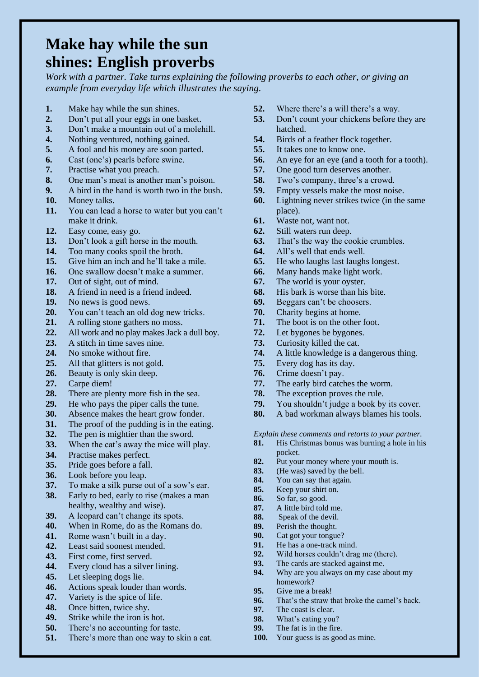## **Make hay while the sun shines: English proverbs**

*Work with a partner. Take turns explaining the following proverbs to each other, or giving an example from everyday life which illustrates the saying.*

- **1.** Make hay while the sun shines.
- **2.** Don't put all your eggs in one basket.
- **3.** Don't make a mountain out of a molehill.
- **4.** Nothing ventured, nothing gained.
- **5.** A fool and his money are soon parted.
- **6.** Cast (one's) pearls before swine.
- **7.** Practise what you preach.
- **8.** One man's meat is another man's poison.
- **9.** A bird in the hand is worth two in the bush.
- **10.** Money talks.
- **11.** You can lead a horse to water but you can't make it drink.
- **12.** Easy come, easy go.
- **13.** Don't look a gift horse in the mouth.
- **14.** Too many cooks spoil the broth.
- **15.** Give him an inch and he'll take a mile.
- **16.** One swallow doesn't make a summer.
- **17.** Out of sight, out of mind.
- **18.** A friend in need is a friend indeed.
- **19.** No news is good news.
- **20.** You can't teach an old dog new tricks.
- **21.** A rolling stone gathers no moss.
- **22.** All work and no play makes Jack a dull boy.
- **23.** A stitch in time saves nine.
- **24.** No smoke without fire.
- **25.** All that glitters is not gold.
- **26.** Beauty is only skin deep.
- **27.** Carpe diem!
- **28.** There are plenty more fish in the sea.
- **29.** He who pays the piper calls the tune.
- **30.** Absence makes the heart grow fonder.
- **31.** The proof of the pudding is in the eating.
- **32.** The pen is mightier than the sword.
- **33.** When the cat's away the mice will play.
- **34.** Practise makes perfect.
- **35.** Pride goes before a fall.
- **36.** Look before you leap.
- **37.** To make a silk purse out of a sow's ear.
- **38.** Early to bed, early to rise (makes a man healthy, wealthy and wise).
- **39.** A leopard can't change its spots.
- **40.** When in Rome, do as the Romans do.
- **41.** Rome wasn't built in a day.
- **42.** Least said soonest mended.
- **43.** First come, first served.
- **44.** Every cloud has a silver lining.
- **45.** Let sleeping dogs lie.
- **46.** Actions speak louder than words.
- **47.** Variety is the spice of life.
- **48.** Once bitten, twice shy.
- **49.** Strike while the iron is hot.
- **50.** There's no accounting for taste.
- **51.** There's more than one way to skin a cat.
- **52.** Where there's a will there's a way.
- **53.** Don't count your chickens before they are hatched.
- **54.** Birds of a feather flock together.
- **55.** It takes one to know one.
- **56.** An eye for an eye (and a tooth for a tooth).
- **57.** One good turn deserves another.
- **58.** Two's company, three's a crowd.
- **59.** Empty vessels make the most noise.
- **60.** Lightning never strikes twice (in the same place).
- **61.** Waste not, want not.
- **62.** Still waters run deep.
- **63.** That's the way the cookie crumbles.
- **64.** All's well that ends well.
- **65.** He who laughs last laughs longest.
- **66.** Many hands make light work.
- **67.** The world is your oyster.
- **68.** His bark is worse than his bite.
- **69.** Beggars can't be choosers.
- **70.** Charity begins at home.
- **71.** The boot is on the other foot.
- **72.** Let bygones be bygones.
- **73.** Curiosity killed the cat.
- **74.** A little knowledge is a dangerous thing.
- **75.** Every dog has its day.
- **76.** Crime doesn't pay.
- **77.** The early bird catches the worm.
- **78.** The exception proves the rule.
- **79.** You shouldn't judge a book by its cover.
- **80.** A bad workman always blames his tools.

## *Explain these comments and retorts to your partner.*

- **81.** His Christmas bonus was burning a hole in his pocket.
- **82.** Put your money where your mouth is.
- **83.** (He was) saved by the bell.
- **84.** You can say that again.
- **85.** Keep your shirt on.
- **86.** So far, so good.
- **87.** A little bird told me.
- **88.** Speak of the devil.
- **89.** Perish the thought.
- **90.** Cat got your tongue?
- **91.** He has a one-track mind.
- **92.** Wild horses couldn't drag me (there). **93.** The cards are stacked against me.
- **94.** Why are you always on my case about my homework?
- **95.** Give me a break!
- **96.** That's the straw that broke the camel's back.
- **97.** The coast is clear.
- **98.** What's eating you? **99.** The fat is in the fire.

**100.** Your guess is as good as mine.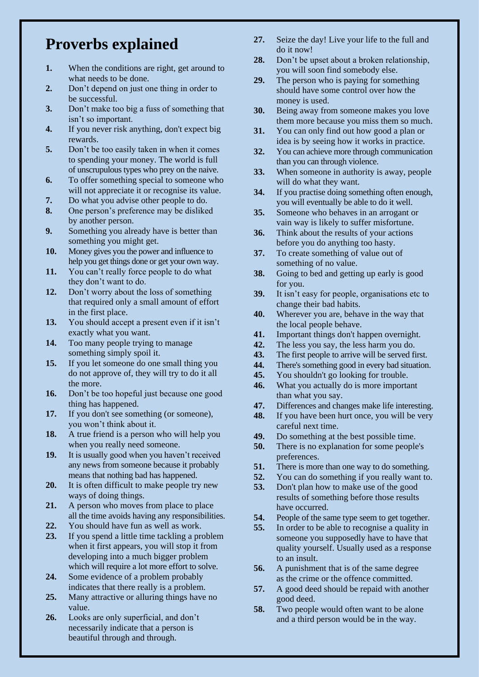## **Proverbs explained**

- **1.** When the conditions are right, get around to what needs to be done.
- **2.** Don't depend on just one thing in order to be successful.
- **3.** Don't make too big a fuss of something that isn't so important.
- **4.** If you never risk anything, don't expect big rewards.
- **5.** Don't be too easily taken in when it comes to spending your money. The world is full of unscrupulous types who prey on the naive.
- **6.** To offer something special to someone who will not appreciate it or recognise its value.
- **7.** Do what you advise other people to do.
- **8.** One person's preference may be disliked by another person.
- **9.** Something you already have is better than something you might get.
- **10.** Money gives you the power and influence to help you get things done or get your own way.
- **11.** You can't really force people to do what they don't want to do.
- **12.** Don't worry about the loss of something that required only a small amount of effort in the first place.
- **13.** You should accept a present even if it isn't exactly what you want.
- **14.** Too many people trying to manage something simply spoil it.
- **15.** If you let someone do one small thing you do not approve of, they will try to do it all the more.
- **16.** Don't be too hopeful just because one good thing has happened.
- **17.** If you don't see something (or someone), you won't think about it.
- **18.** A true friend is a person who will help you when you really need someone.
- **19.** It is usually good when you haven't received any news from someone because it probably means that nothing bad has happened.
- **20.** It is often difficult to make people try new ways of doing things.
- **21.** A person who moves from place to place all the time avoids having any responsibilities.
- **22.** You should have fun as well as work.
- **23.** If you spend a little time tackling a problem when it first appears, you will stop it from developing into a much bigger problem which will require a lot more effort to solve.
- **24.** Some evidence of a problem probably indicates that there really is a problem.
- **25.** Many attractive or alluring things have no value.
- **26.** Looks are only superficial, and don't necessarily indicate that a person is beautiful through and through.
- **27.** Seize the day! Live your life to the full and do it now!
- **28.** Don't be upset about a broken relationship, you will soon find somebody else.
- **29.** The person who is paying for something should have some control over how the money is used.
- **30.** Being away from someone makes you love them more because you miss them so much.
- **31.** You can only find out how good a plan or idea is by seeing how it works in practice.
- **32.** You can achieve more through communication than you can through violence.
- **33.** When someone in authority is away, people will do what they want.
- **34.** If you practise doing something often enough, you will eventually be able to do it well.
- **35.** Someone who behaves in an arrogant or vain way is likely to suffer misfortune.
- **36.** Think about the results of your actions before you do anything too hasty.
- **37.** To create something of value out of something of no value.
- **38.** Going to bed and getting up early is good for you.
- **39.** It isn't easy for people, organisations etc to change their bad habits.
- **40.** Wherever you are, behave in the way that the local people behave.
- **41.** Important things don't happen overnight.
- **42.** The less you say, the less harm you do.
- **43.** The first people to arrive will be served first.<br>**44.** There's something good in every bad situation.
- There's something good in every bad situation.
- **45.** You shouldn't go looking for trouble.
- **46.** What you actually do is more important than what you say.
- **47.** Differences and changes make life interesting.
- **48.** If you have been hurt once, you will be very careful next time.
- **49.** Do something at the best possible time.
- **50.** There is no explanation for some people's preferences.
- **51.** There is more than one way to do something.
- **52.** You can do something if you really want to.
- **53.** Don't plan how to make use of the good results of something before those results have occurred.
- **54.** People of the same type seem to get together.
- **55.** In order to be able to recognise a quality in someone you supposedly have to have that quality yourself. Usually used as a response to an insult.
- **56.** A punishment that is of the same degree as the crime or the offence committed.
- **57.** A good deed should be repaid with another good deed.
- **58.** Two people would often want to be alone and a third person would be in the way.